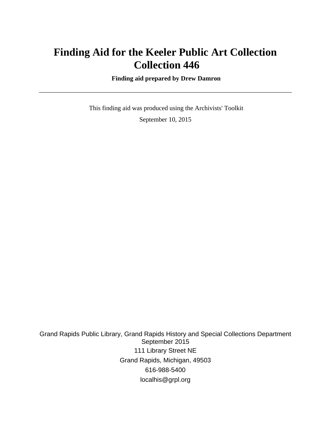# **Finding Aid for the Keeler Public Art Collection Collection 446**

 **Finding aid prepared by Drew Damron**

 This finding aid was produced using the Archivists' Toolkit September 10, 2015

Grand Rapids Public Library, Grand Rapids History and Special Collections Department September 2015 111 Library Street NE Grand Rapids, Michigan, 49503 616-988-5400 localhis@grpl.org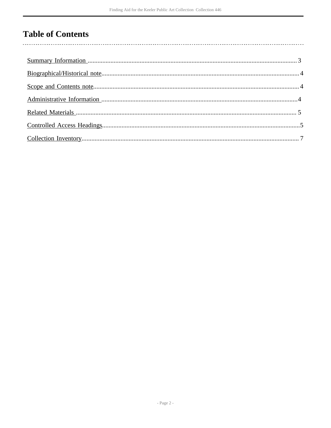# **Table of Contents**

 $\overline{\phantom{a}}$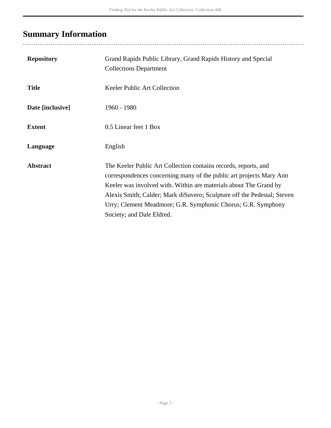# <span id="page-2-0"></span>**Summary Information**

| <b>Repository</b> | Grand Rapids Public Library, Grand Rapids History and Special<br><b>Collections Department</b>                                                                                                                                                                                                                                                                                      |
|-------------------|-------------------------------------------------------------------------------------------------------------------------------------------------------------------------------------------------------------------------------------------------------------------------------------------------------------------------------------------------------------------------------------|
| <b>Title</b>      | Keeler Public Art Collection                                                                                                                                                                                                                                                                                                                                                        |
| Date [inclusive]  | 1960 - 1980                                                                                                                                                                                                                                                                                                                                                                         |
| <b>Extent</b>     | 0.5 Linear feet 1 Box                                                                                                                                                                                                                                                                                                                                                               |
| Language          | English                                                                                                                                                                                                                                                                                                                                                                             |
| <b>Abstract</b>   | The Keeler Public Art Collection contains records, reports, and<br>correspondences concerning many of the public art projects Mary Ann<br>Keeler was involved with. Within are materials about The Grand by<br>Alexis Smith; Calder; Mark diSuvero; Sculpture off the Pedestal; Steven<br>Urry; Clement Meadmore; G.R. Symphonic Chorus; G.R. Symphony<br>Society; and Dale Eldred. |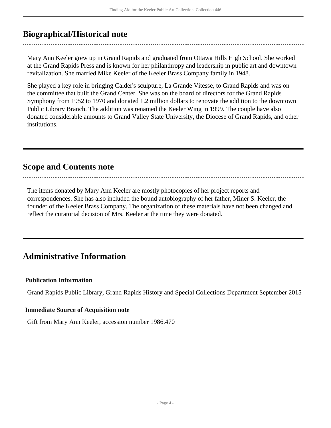## <span id="page-3-0"></span>**Biographical/Historical note**

Mary Ann Keeler grew up in Grand Rapids and graduated from Ottawa Hills High School. She worked at the Grand Rapids Press and is known for her philanthropy and leadership in public art and downtown revitalization. She married Mike Keeler of the Keeler Brass Company family in 1948.

She played a key role in bringing Calder's sculpture, La Grande Vitesse, to Grand Rapids and was on the committee that built the Grand Center. She was on the board of directors for the Grand Rapids Symphony from 1952 to 1970 and donated 1.2 million dollars to renovate the addition to the downtown Public Library Branch. The addition was renamed the Keeler Wing in 1999. The couple have also donated considerable amounts to Grand Valley State University, the Diocese of Grand Rapids, and other institutions.

### <span id="page-3-1"></span>**Scope and Contents note**

The items donated by Mary Ann Keeler are mostly photocopies of her project reports and correspondences. She has also included the bound autobiography of her father, Miner S. Keeler, the founder of the Keeler Brass Company. The organization of these materials have not been changed and reflect the curatorial decision of Mrs. Keeler at the time they were donated.

## <span id="page-3-2"></span>**Administrative Information**

### **Publication Information**

Grand Rapids Public Library, Grand Rapids History and Special Collections Department September 2015

#### **Immediate Source of Acquisition note**

Gift from Mary Ann Keeler, accession number 1986.470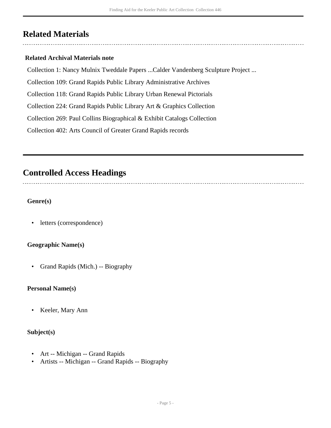## <span id="page-4-0"></span>**Related Materials**

### **Related Archival Materials note**

Collection 1: Nancy Mulnix Tweddale Papers ...Calder Vandenberg Sculpture Project ...

Collection 109: Grand Rapids Public Library Administrative Archives

Collection 118: Grand Rapids Public Library Urban Renewal Pictorials

Collection 224: Grand Rapids Public Library Art & Graphics Collection

Collection 269: Paul Collins Biographical & Exhibit Catalogs Collection

Collection 402: Arts Council of Greater Grand Rapids records

## <span id="page-4-1"></span>**Controlled Access Headings**

### **Genre(s)**

• letters (correspondence)

### **Geographic Name(s)**

• Grand Rapids (Mich.) -- Biography

#### **Personal Name(s)**

• Keeler, Mary Ann

#### **Subject(s)**

- Art -- Michigan -- Grand Rapids
- Artists -- Michigan -- Grand Rapids -- Biography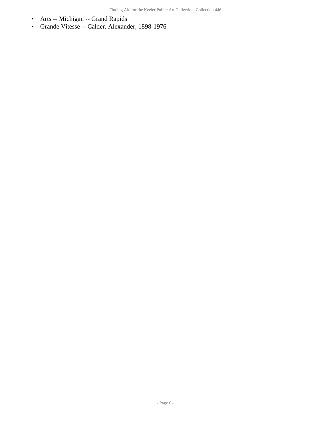- Arts -- Michigan -- Grand Rapids
- Grande Vitesse -- Calder, Alexander, 1898-1976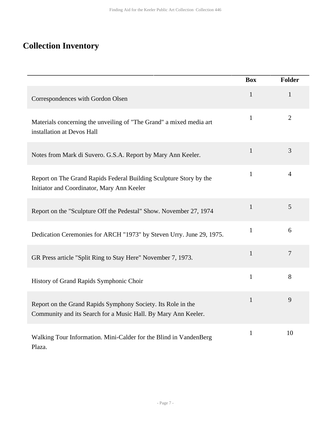## <span id="page-6-0"></span>**Collection Inventory**

|                                                                                                                                | <b>Box</b>   | <b>Folder</b>  |
|--------------------------------------------------------------------------------------------------------------------------------|--------------|----------------|
| Correspondences with Gordon Olsen                                                                                              | $\mathbf{1}$ | $\mathbf{1}$   |
| Materials concerning the unveiling of "The Grand" a mixed media art<br>installation at Devos Hall                              | $\mathbf{1}$ | $\overline{2}$ |
| Notes from Mark di Suvero. G.S.A. Report by Mary Ann Keeler.                                                                   | $\mathbf{1}$ | 3              |
| Report on The Grand Rapids Federal Building Sculpture Story by the<br>Initiator and Coordinator, Mary Ann Keeler               | $\mathbf{1}$ | $\overline{4}$ |
| Report on the "Sculpture Off the Pedestal" Show. November 27, 1974                                                             | $\mathbf{1}$ | 5              |
| Dedication Ceremonies for ARCH "1973" by Steven Urry. June 29, 1975.                                                           | $\mathbf{1}$ | 6              |
| GR Press article "Split Ring to Stay Here" November 7, 1973.                                                                   | $\mathbf{1}$ | $\overline{7}$ |
| History of Grand Rapids Symphonic Choir                                                                                        | $\mathbf{1}$ | 8              |
| Report on the Grand Rapids Symphony Society. Its Role in the<br>Community and its Search for a Music Hall. By Mary Ann Keeler. | 1            | 9              |
| Walking Tour Information. Mini-Calder for the Blind in VandenBerg<br>Plaza.                                                    | $\mathbf{1}$ | 10             |